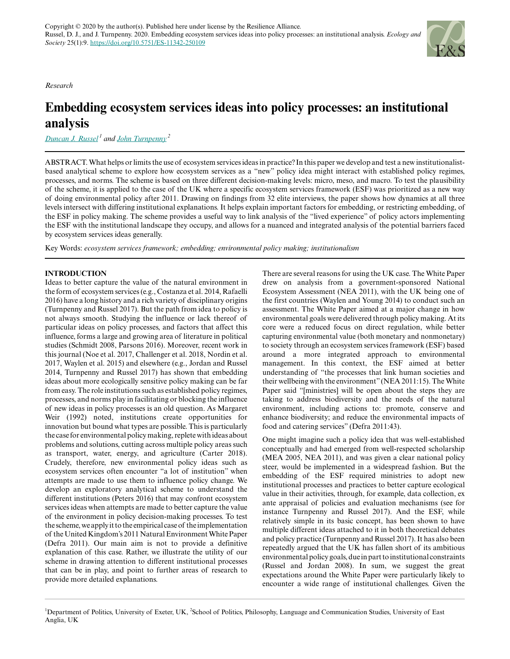*Research*

# **Embedding ecosystem services ideas into policy processes: an institutional analysis**

*[Duncan J. Russel](mailto:d.j.russel@exeter.ac.uk)<sup>1</sup> and [John Turnpenny](mailto:j.turnpenny@uea.ac.uk)<sup>2</sup>*

ABSTRACT. What helps or limits the use of ecosystem services ideas in practice? In this paper we develop and test a new institutionalistbased analytical scheme to explore how ecosystem services as a "new" policy idea might interact with established policy regimes, processes, and norms. The scheme is based on three different decision-making levels: micro, meso, and macro. To test the plausibility of the scheme, it is applied to the case of the UK where a specific ecosystem services framework (ESF) was prioritized as a new way of doing environmental policy after 2011. Drawing on findings from 32 elite interviews, the paper shows how dynamics at all three levels intersect with differing institutional explanations. It helps explain important factors for embedding, or restricting embedding, of the ESF in policy making. The scheme provides a useful way to link analysis of the "lived experience" of policy actors implementing the ESF with the institutional landscape they occupy, and allows for a nuanced and integrated analysis of the potential barriers faced by ecosystem services ideas generally.

Key Words: *ecosystem services framework; embedding; environmental policy making; institutionalism*

# **INTRODUCTION**

Ideas to better capture the value of the natural environment in the form of ecosystem services (e.g., Costanza et al. 2014, Rafaelli 2016) have a long history and a rich variety of disciplinary origins (Turnpenny and Russel 2017). But the path from idea to policy is not always smooth. Studying the influence or lack thereof of particular ideas on policy processes, and factors that affect this influence, forms a large and growing area of literature in political studies (Schmidt 2008, Parsons 2016). Moreover, recent work in this journal (Noe et al. 2017, Challenger et al. 2018, Nordin et al. 2017, Waylen et al. 2015) and elsewhere (e.g., Jordan and Russel 2014, Turnpenny and Russel 2017) has shown that embedding ideas about more ecologically sensitive policy making can be far from easy. The role institutions such as established policy regimes, processes, and norms play in facilitating or blocking the influence of new ideas in policy processes is an old question. As Margaret Weir (1992) noted, institutions create opportunities for innovation but bound what types are possible. This is particularly the case for environmental policy making, replete with ideas about problems and solutions, cutting across multiple policy areas such as transport, water, energy, and agriculture (Carter 2018). Crudely, therefore, new environmental policy ideas such as ecosystem services often encounter "a lot of institution" when attempts are made to use them to influence policy change. We develop an exploratory analytical scheme to understand the different institutions (Peters 2016) that may confront ecosystem services ideas when attempts are made to better capture the value of the environment in policy decision-making processes. To test the scheme, we apply it to the empirical case of the implementation of the United Kingdom's 2011 Natural Environment White Paper (Defra 2011). Our main aim is not to provide a definitive explanation of this case. Rather, we illustrate the utility of our scheme in drawing attention to different institutional processes that can be in play, and point to further areas of research to provide more detailed explanations.

There are several reasons for using the UK case. The White Paper drew on analysis from a government-sponsored National Ecosystem Assessment (NEA 2011), with the UK being one of the first countries (Waylen and Young 2014) to conduct such an assessment. The White Paper aimed at a major change in how environmental goals were delivered through policy making. At its core were a reduced focus on direct regulation, while better capturing environmental value (both monetary and nonmonetary) to society through an ecosystem services framework (ESF) based around a more integrated approach to environmental management. In this context, the ESF aimed at better understanding of "the processes that link human societies and their wellbeing with the environment" (NEA 2011:15). The White Paper said "[ministries] will be open about the steps they are taking to address biodiversity and the needs of the natural environment, including actions to: promote, conserve and enhance biodiversity; and reduce the environmental impacts of food and catering services" (Defra 2011:43).

One might imagine such a policy idea that was well-established conceptually and had emerged from well-respected scholarship (MEA 2005, NEA 2011), and was given a clear national policy steer, would be implemented in a widespread fashion. But the embedding of the ESF required ministries to adopt new institutional processes and practices to better capture ecological value in their activities, through, for example, data collection, ex ante appraisal of policies and evaluation mechanisms (see for instance Turnpenny and Russel 2017). And the ESF, while relatively simple in its basic concept, has been shown to have multiple different ideas attached to it in both theoretical debates and policy practice (Turnpenny and Russel 2017). It has also been repeatedly argued that the UK has fallen short of its ambitious environmental policy goals, due in part to institutional constraints (Russel and Jordan 2008). In sum, we suggest the great expectations around the White Paper were particularly likely to encounter a wide range of institutional challenges. Given the

<sup>&</sup>lt;sup>1</sup>Department of Politics, University of Exeter, UK, <sup>2</sup>School of Politics, Philosophy, Language and Communication Studies, University of East Anglia, UK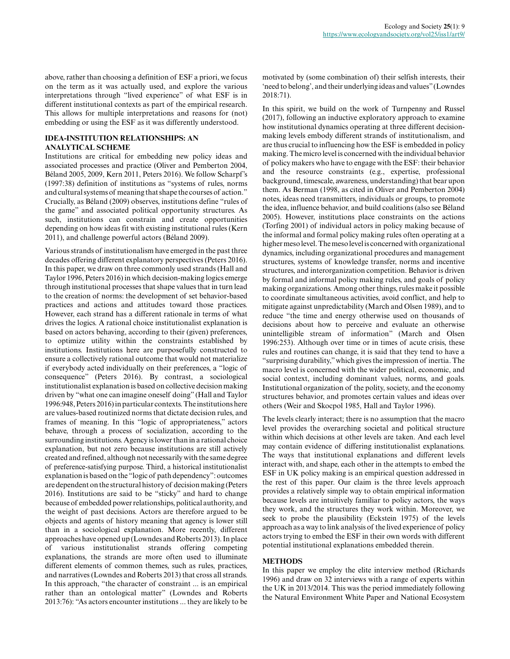above, rather than choosing a definition of ESF a priori, we focus on the term as it was actually used, and explore the various interpretations through "lived experience" of what ESF is in different institutional contexts as part of the empirical research. This allows for multiple interpretations and reasons for (not) embedding or using the ESF as it was differently understood.

# **IDEA-INSTITUTION RELATIONSHIPS: AN ANALYTICAL SCHEME**

Institutions are critical for embedding new policy ideas and associated processes and practice (Oliver and Pemberton 2004, Béland 2005, 2009, Kern 2011, Peters 2016). We follow Scharpf's (1997:38) definition of institutions as "systems of rules, norms and cultural systems of meaning that shape the courses of action." Crucially, as Béland (2009) observes, institutions define "rules of the game" and associated political opportunity structures. As such, institutions can constrain and create opportunities depending on how ideas fit with existing institutional rules (Kern 2011), and challenge powerful actors (Béland 2009).

Various strands of institutionalism have emerged in the past three decades offering different explanatory perspectives (Peters 2016). In this paper, we draw on three commonly used strands (Hall and Taylor 1996, Peters 2016) in which decision-making logics emerge through institutional processes that shape values that in turn lead to the creation of norms: the development of set behavior-based practices and actions and attitudes toward those practices. However, each strand has a different rationale in terms of what drives the logics. A rational choice institutionalist explanation is based on actors behaving, according to their (given) preferences, to optimize utility within the constraints established by institutions. Institutions here are purposefully constructed to ensure a collectively rational outcome that would not materialize if everybody acted individually on their preferences, a "logic of consequence" (Peters 2016). By contrast, a sociological institutionalist explanation is based on collective decision making driven by "what one can imagine oneself doing" (Hall and Taylor 1996:948, Peters 2016) in particular contexts. The institutions here are values-based routinized norms that dictate decision rules, and frames of meaning. In this "logic of appropriateness," actors behave, through a process of socialization, according to the surrounding institutions. Agency is lower than in a rational choice explanation, but not zero because institutions are still actively created and refined, although not necessarily with the same degree of preference-satisfying purpose. Third, a historical institutionalist explanation is based on the "logic of path dependency": outcomes are dependent on the structural history of decision making (Peters 2016). Institutions are said to be "sticky" and hard to change because of embedded power relationships, political authority, and the weight of past decisions. Actors are therefore argued to be objects and agents of history meaning that agency is lower still than in a sociological explanation. More recently, different approaches have opened up (Lowndes and Roberts 2013). In place of various institutionalist strands offering competing explanations, the strands are more often used to illuminate different elements of common themes, such as rules, practices, and narratives (Lowndes and Roberts 2013) that cross all strands. In this approach, "the character of constraint ... is an empirical rather than an ontological matter" (Lowndes and Roberts 2013:76): "As actors encounter institutions ... they are likely to be

motivated by (some combination of) their selfish interests, their 'need to belong', and their underlying ideas and values" (Lowndes 2018:71).

In this spirit, we build on the work of Turnpenny and Russel (2017), following an inductive exploratory approach to examine how institutional dynamics operating at three different decisionmaking levels embody different strands of institutionalism, and are thus crucial to influencing how the ESF is embedded in policy making. The micro level is concerned with the individual behavior of policy makers who have to engage with the ESF: their behavior and the resource constraints (e.g., expertise, professional background, timescale, awareness, understanding) that bear upon them. As Berman (1998, as cited in Oliver and Pemberton 2004) notes, ideas need transmitters, individuals or groups, to promote the idea, influence behavior, and build coalitions (also see Béland 2005). However, institutions place constraints on the actions (Torfing 2001) of individual actors in policy making because of the informal and formal policy making rules often operating at a higher meso level. The meso level is concerned with organizational dynamics, including organizational procedures and management structures, systems of knowledge transfer, norms and incentive structures, and interorganization competition. Behavior is driven by formal and informal policy making rules, and goals of policy making organizations. Among other things, rules make it possible to coordinate simultaneous activities, avoid conflict, and help to mitigate against unpredictability (March and Olsen 1989), and to reduce "the time and energy otherwise used on thousands of decisions about how to perceive and evaluate an otherwise unintelligible stream of information" (March and Olsen 1996:253). Although over time or in times of acute crisis, these rules and routines can change, it is said that they tend to have a "surprising durability," which gives the impression of inertia. The macro level is concerned with the wider political, economic, and social context, including dominant values, norms, and goals. Institutional organization of the polity, society, and the economy structures behavior, and promotes certain values and ideas over others (Weir and Skocpol 1985, Hall and Taylor 1996).

The levels clearly interact; there is no assumption that the macro level provides the overarching societal and political structure within which decisions at other levels are taken. And each level may contain evidence of differing institutionalist explanations. The ways that institutional explanations and different levels interact with, and shape, each other in the attempts to embed the ESF in UK policy making is an empirical question addressed in the rest of this paper. Our claim is the three levels approach provides a relatively simple way to obtain empirical information because levels are intuitively familiar to policy actors, the ways they work, and the structures they work within. Moreover, we seek to probe the plausibility (Eckstein 1975) of the levels approach as a way to link analysis of the lived experience of policy actors trying to embed the ESF in their own words with different potential institutional explanations embedded therein.

# **METHODS**

In this paper we employ the elite interview method (Richards 1996) and draw on 32 interviews with a range of experts within the UK in 2013/2014. This was the period immediately following the Natural Environment White Paper and National Ecosystem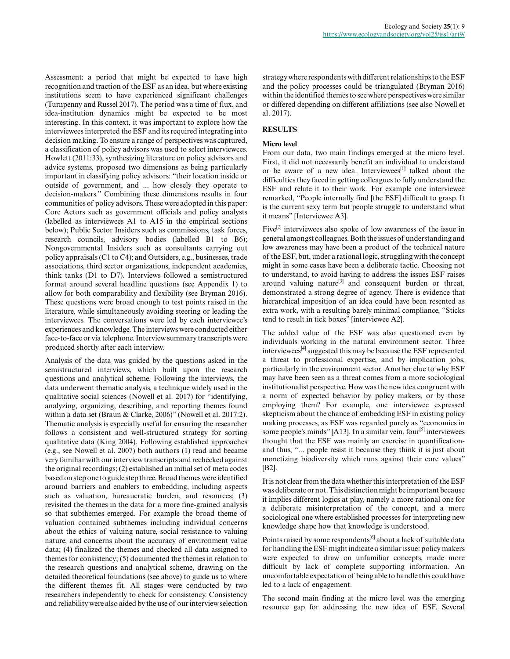Assessment: a period that might be expected to have high recognition and traction of the ESF as an idea, but where existing institutions seem to have experienced significant challenges (Turnpenny and Russel 2017). The period was a time of flux, and idea-institution dynamics might be expected to be most interesting. In this context, it was important to explore how the interviewees interpreted the ESF and its required integrating into decision making. To ensure a range of perspectives was captured, a classification of policy advisors was used to select interviewees. Howlett (2011:33), synthesizing literature on policy advisors and advice systems, proposed two dimensions as being particularly important in classifying policy advisors: "their location inside or outside of government, and ... how closely they operate to decision-makers." Combining these dimensions results in four communities of policy advisors. These were adopted in this paper: Core Actors such as government officials and policy analysts (labelled as interviewees A1 to A15 in the empirical sections below); Public Sector Insiders such as commissions, task forces, research councils, advisory bodies (labelled B1 to B6); Nongovernmental Insiders such as consultants carrying out policy appraisals (C1 to C4); and Outsiders, e.g., businesses, trade associations, third sector organizations, independent academics, think tanks (D1 to D7). Interviews followed a semistructured format around several headline questions (see Appendix 1) to allow for both comparability and flexibility (see Bryman 2016). These questions were broad enough to test points raised in the literature, while simultaneously avoiding steering or leading the interviewees. The conversations were led by each interviewee's experiences and knowledge. The interviews were conducted either face-to-face or via telephone. Interview summary transcripts were produced shortly after each interview.

Analysis of the data was guided by the questions asked in the semistructured interviews, which built upon the research questions and analytical scheme. Following the interviews, the data underwent thematic analysis, a technique widely used in the qualitative social sciences (Nowell et al. 2017) for "identifying, analyzing, organizing, describing, and reporting themes found within a data set (Braun & Clarke, 2006)" (Nowell et al. 2017:2). Thematic analysis is especially useful for ensuring the researcher follows a consistent and well-structured strategy for sorting qualitative data (King 2004). Following established approaches (e.g., see Nowell et al. 2007) both authors (1) read and became very familiar with our interview transcripts and rechecked against the original recordings; (2) established an initial set of meta codes based on step one to guide step three. Broad themes were identified around barriers and enablers to embedding, including aspects such as valuation, bureaucratic burden, and resources; (3) revisited the themes in the data for a more fine-grained analysis so that subthemes emerged. For example the broad theme of valuation contained subthemes including individual concerns about the ethics of valuing nature, social resistance to valuing nature, and concerns about the accuracy of environment value data; (4) finalized the themes and checked all data assigned to themes for consistency; (5) documented the themes in relation to the research questions and analytical scheme, drawing on the detailed theoretical foundations (see above) to guide us to where the different themes fit. All stages were conducted by two researchers independently to check for consistency. Consistency and reliability were also aided by the use of our interview selection strategy where respondents with different relationships to the ESF and the policy processes could be triangulated (Bryman 2016) within the identified themes to see where perspectives were similar or differed depending on different affiliations (see also Nowell et al. 2017).

# **RESULTS**

#### **Micro level**

From our data, two main findings emerged at the micro level. First, it did not necessarily benefit an individual to understand or be aware of a new idea. Interviewees<sup>[1]</sup> talked about the difficulties they faced in getting colleagues to fully understand the ESF and relate it to their work. For example one interviewee remarked, "People internally find [the ESF] difficult to grasp. It is the current sexy term but people struggle to understand what it means" [Interviewee A3].

Five<sup>[2]</sup> interviewees also spoke of low awareness of the issue in general amongst colleagues. Both the issues of understanding and low awareness may have been a product of the technical nature of the ESF, but, under a rational logic, struggling with the concept might in some cases have been a deliberate tactic. Choosing not to understand, to avoid having to address the issues ESF raises around valuing nature<sup>[3]</sup> and consequent burden or threat, demonstrated a strong degree of agency. There is evidence that hierarchical imposition of an idea could have been resented as extra work, with a resulting barely minimal compliance, "Sticks tend to result in tick boxes" [interviewee A2].

The added value of the ESF was also questioned even by individuals working in the natural environment sector. Three interviewees[4] suggested this may be because the ESF represented a threat to professional expertise, and by implication jobs, particularly in the environment sector. Another clue to why ESF may have been seen as a threat comes from a more sociological institutionalist perspective. How was the new idea congruent with a norm of expected behavior by policy makers, or by those employing them? For example, one interviewee expressed skepticism about the chance of embedding ESF in existing policy making processes, as ESF was regarded purely as "economics in some people's minds" [A13]. In a similar vein, four<sup>[5]</sup> interviewees thought that the ESF was mainly an exercise in quantificationand thus, "... people resist it because they think it is just about monetizing biodiversity which runs against their core values" [B2].

It is not clear from the data whether this interpretation of the ESF was deliberate or not. This distinction might be important because it implies different logics at play, namely a more rational one for a deliberate misinterpretation of the concept, and a more sociological one where established processes for interpreting new knowledge shape how that knowledge is understood.

Points raised by some respondents<sup>[6]</sup> about a lack of suitable data for handling the ESF might indicate a similar issue: policy makers were expected to draw on unfamiliar concepts, made more difficult by lack of complete supporting information. An uncomfortable expectation of being able to handle this could have led to a lack of engagement.

The second main finding at the micro level was the emerging resource gap for addressing the new idea of ESF. Several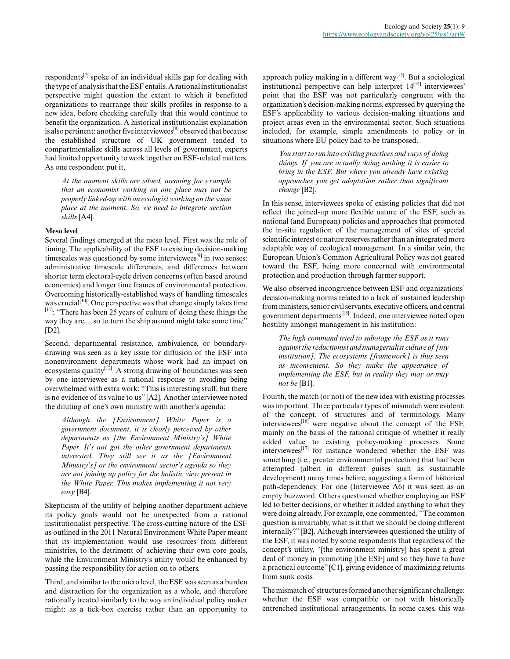respondents<sup>[7]</sup> spoke of an individual skills gap for dealing with the type of analysis that the ESF entails. A rational institutionalist perspective might question the extent to which it benefitted organizations to rearrange their skills profiles in response to a new idea, before checking carefully that this would continue to benefit the organization. A historical institutionalist explanation is also pertinent: another five interviewees<sup>[8]</sup> observed that because the established structure of UK government tended to compartmentalize skills across all levels of government, experts had limited opportunity to work together on ESF-related matters. As one respondent put it,

*At the moment skills are siloed, meaning for example that an economist working on one place may not be properly linked-up with an ecologist working on the same place at the moment. So, we need to integrate section skills* [A4].

#### **Meso level**

Several findings emerged at the meso level. First was the role of timing. The applicability of the ESF to existing decision-making timescales was questioned by some interviewees<sup>[9]</sup> in two senses: administrative timescale differences, and differences between shorter term electoral-cycle driven concerns (often based around economics) and longer time frames of environmental protection. Overcoming historically-established ways of handling timescales was crucial<sup>[10]</sup>. One perspective was that change simply takes time [11]: "There has been 25 years of culture of doing these things the way they are..., so to turn the ship around might take some time" [D2].

Second, departmental resistance, ambivalence, or boundarydrawing was seen as a key issue for diffusion of the ESF into nonenvironment departments whose work had an impact on ecosystems quality $\left[1^{\dot{2}}\right]$ . A strong drawing of boundaries was seen by one interviewee as a rational response to avoiding being overwhelmed with extra work: "This is interesting stuff, but there is no evidence of its value to us" [A2]. Another interviewee noted the diluting of one's own ministry with another's agenda:

*Although the [Environment] White Paper is a government document, it is clearly perceived by other departments as [the Environment Ministry's] White Paper. It's not got the other government departments interested. They still see it as the [Environment Ministry's] or the environment sector's agenda so they are not joining up policy for the holistic view present in the White Paper. This makes implementing it not very easy* [B4].

Skepticism of the utility of helping another department achieve its policy goals would not be unexpected from a rational institutionalist perspective. The cross-cutting nature of the ESF as outlined in the 2011 Natural Environment White Paper meant that its implementation would use resources from different ministries, to the detriment of achieving their own core goals, while the Environment Ministry's utility would be enhanced by passing the responsibility for action on to others.

Third, and similar to the micro level, the ESF was seen as a burden and distraction for the organization as a whole, and therefore rationally treated similarly to the way an individual policy maker might: as a tick-box exercise rather than an opportunity to approach policy making in a different way<sup>[13]</sup>. But a sociological institutional perspective can help interpret  $14^{[14]}$  interviewees' point that the ESF was not particularly congruent with the organization's decision-making norms, expressed by querying the ESF's applicability to various decision-making situations and project areas even in the environmental sector. Such situations included, for example, simple amendments to policy or in situations where EU policy had to be transposed.

*You start to run into existing practices and ways of doing things. If you are actually doing nothing it is easier to bring in the ESF. But where you already have existing approaches you get adaptation rather than significant change* [B2].

In this sense, interviewees spoke of existing policies that did not reflect the joined-up more flexible nature of the ESF, such as national (and European) policies and approaches that promoted the in-situ regulation of the management of sites of special scientific interest or nature reserves rather than an integrated more adaptable way of ecological management. In a similar vein, the European Union's Common Agricultural Policy was not geared toward the ESF, being more concerned with environmental protection and production through farmer support.

We also observed incongruence between ESF and organizations' decision-making norms related to a lack of sustained leadership from ministers, senior civil servants, executive officers, and central government departments[15]. Indeed, one interviewee noted open hostility amongst management in his institution:

*The high command tried to sabotage the ESF as it runs against the reductionist and managerialist culture of [my institution]. The ecosystems [framework] is thus seen as inconvenient. So they make the appearance of implementing the ESF, but in reality they may or may not be* [B1].

Fourth, the match (or not) of the new idea with existing processes was important. Three particular types of mismatch were evident: of the concept, of structures and of terminology. Many interviewees $^{[16]}$  were negative about the concept of the ESF, mainly on the basis of the rational critique of whether it really added value to existing policy-making processes. Some interviewees[17] for instance wondered whether the ESF was something (i.e., greater environmental protection) that had been attempted (albeit in different guises such as sustainable development) many times before, suggesting a form of historical path-dependency. For one (Interviewee A6) it was seen as an empty buzzword. Others questioned whether employing an ESF led to better decisions, or whether it added anything to what they were doing already. For example, one commented, "The common question is invariably, what is it that we should be doing different internally?" [B2]. Although interviewees questioned the utility of the ESF, it was noted by some respondents that regardless of the concept's utility, "[the environment ministry] has spent a great deal of money in promoting [the ESF] and so they have to have a practical outcome" [C1], giving evidence of maximizing returns from sunk costs.

The mismatch of structures formed another significant challenge: whether the ESF was compatible or not with historically entrenched institutional arrangements. In some cases, this was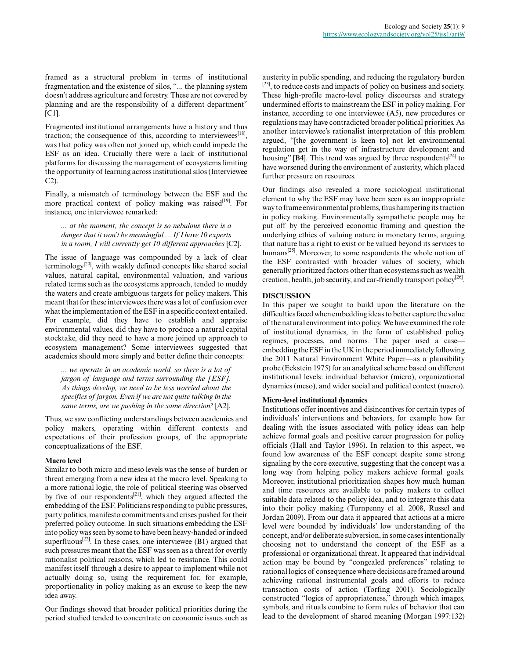framed as a structural problem in terms of institutional fragmentation and the existence of silos, "... the planning system doesn't address agriculture and forestry. These are not covered by planning and are the responsibility of a different department" [C1].

Fragmented institutional arrangements have a history and thus traction; the consequence of this, according to interviewees<sup>[18]</sup>, was that policy was often not joined up, which could impede the ESF as an idea. Crucially there were a lack of institutional platforms for discussing the management of ecosystems limiting the opportunity of learning across institutional silos (Interviewee C2).

Finally, a mismatch of terminology between the ESF and the more practical context of policy making was raised $[19]$ . For instance, one interviewee remarked:

*... at the moment, the concept is so nebulous there is a danger that it won't be meaningful.... If I have 10 experts in a room, I will currently get 10 different approaches* [C2].

The issue of language was compounded by a lack of clear  $\text{terminology}^{[20]}$ , with weakly defined concepts like shared social values, natural capital, environmental valuation, and various related terms such as the ecosystems approach, tended to muddy the waters and create ambiguous targets for policy makers. This meant that for these interviewees there was a lot of confusion over what the implementation of the ESF in a specific context entailed. For example, did they have to establish and appraise environmental values, did they have to produce a natural capital stocktake, did they need to have a more joined up approach to ecosystem management? Some interviewees suggested that academics should more simply and better define their concepts:

*... we operate in an academic world, so there is a lot of jargon of language and terms surrounding the [ESF]. As things develop, we need to be less worried about the specifics of jargon. Even if we are not quite talking in the same terms, are we pushing in the same direction?* [A2].

Thus, we saw conflicting understandings between academics and policy makers, operating within different contexts and expectations of their profession groups, of the appropriate conceptualizations of the ESF.

# **Macro level**

Similar to both micro and meso levels was the sense of burden or threat emerging from a new idea at the macro level. Speaking to a more rational logic, the role of political steering was observed by five of our respondents $[21]$ , which they argued affected the embedding of the ESF. Politicians responding to public pressures, party politics, manifesto commitments and crises pushed for their preferred policy outcome. In such situations embedding the ESF into policy was seen by some to have been heavy-handed or indeed superfluous<sup>[22]</sup>. In these cases, one interviewee  $(B1)$  argued that such pressures meant that the ESF was seen as a threat for overtly rationalist political reasons, which led to resistance. This could manifest itself through a desire to appear to implement while not actually doing so, using the requirement for, for example, proportionality in policy making as an excuse to keep the new idea away.

Our findings showed that broader political priorities during the period studied tended to concentrate on economic issues such as austerity in public spending, and reducing the regulatory burden [23], to reduce costs and impacts of policy on business and society. These high-profile macro-level policy discourses and strategy undermined efforts to mainstream the ESF in policy making. For instance, according to one interviewee (A5), new procedures or regulations may have contradicted broader political priorities. As another interviewee's rationalist interpretation of this problem argued, "[the government is keen to] not let environmental regulation get in the way of infrastructure development and housing" [B4]. This trend was argued by three respondents<sup>[24]</sup> to have worsened during the environment of austerity, which placed further pressure on resources.

Our findings also revealed a more sociological institutional element to why the ESF may have been seen as an inappropriate way to frame environmental problems, thus hampering its traction in policy making. Environmentally sympathetic people may be put off by the perceived economic framing and question the underlying ethics of valuing nature in monetary terms, arguing that nature has a right to exist or be valued beyond its services to humans<sup>[25]</sup>. Moreover, to some respondents the whole notion of the ESF contrasted with broader values of society, which generally prioritized factors other than ecosystems such as wealth creation, health, job security, and car-friendly transport policy<sup>[26]</sup>.

## **DISCUSSION**

In this paper we sought to build upon the literature on the difficulties faced when embedding ideas to better capture the value of the natural environment into policy. We have examined the role of institutional dynamics, in the form of established policy regimes, processes, and norms. The paper used a case embedding the ESF in the UK in the period immediately following the 2011 Natural Environment White Paper—as a plausibility probe (Eckstein 1975) for an analytical scheme based on different institutional levels: individual behavior (micro), organizational dynamics (meso), and wider social and political context (macro).

## **Micro-level institutional dynamics**

Institutions offer incentives and disincentives for certain types of individuals' interventions and behaviors, for example how far dealing with the issues associated with policy ideas can help achieve formal goals and positive career progression for policy officials (Hall and Taylor 1996). In relation to this aspect, we found low awareness of the ESF concept despite some strong signaling by the core executive, suggesting that the concept was a long way from helping policy makers achieve formal goals. Moreover, institutional prioritization shapes how much human and time resources are available to policy makers to collect suitable data related to the policy idea, and to integrate this data into their policy making (Turnpenny et al. 2008, Russel and Jordan 2009). From our data it appeared that actions at a micro level were bounded by individuals' low understanding of the concept, and/or deliberate subversion, in some cases intentionally choosing not to understand the concept of the ESF as a professional or organizational threat. It appeared that individual action may be bound by "congealed preferences" relating to rational logics of consequence where decisions are framed around achieving rational instrumental goals and efforts to reduce transaction costs of action (Torfing 2001). Sociologically constructed "logics of appropriateness," through which images, symbols, and rituals combine to form rules of behavior that can lead to the development of shared meaning (Morgan 1997:132)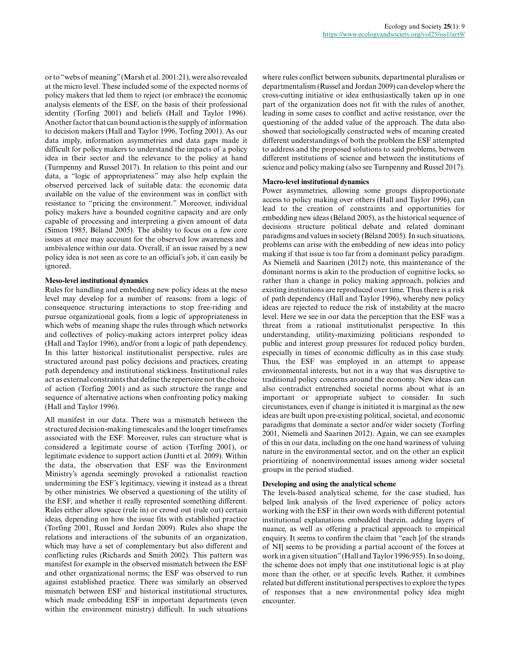or to "webs of meaning" (Marsh et al. 2001:21), were also revealed at the micro level. These included some of the expected norms of policy makers that led them to reject (or embrace) the economic analysis elements of the ESF, on the basis of their professional identity (Torfing 2001) and beliefs (Hall and Taylor 1996). Another factor that can bound action is the supply of information to decision makers (Hall and Taylor 1996, Torfing 2001). As our data imply, information asymmetries and data gaps made it difficult for policy makers to understand the impacts of a policy idea in their sector and the relevance to the policy at hand (Turnpenny and Russel 2017). In relation to this point and our data, a "logic of appropriateness" may also help explain the observed perceived lack of suitable data: the economic data available on the value of the environment was in conflict with resistance to "pricing the environment." Moreover, individual policy makers have a bounded cognitive capacity and are only capable of processing and interpreting a given amount of data (Simon 1985, Béland 2005). The ability to focus on a few core issues at once may account for the observed low awareness and ambivalence within our data. Overall, if an issue raised by a new policy idea is not seen as core to an official's job, it can easily be ignored.

## **Meso-level institutional dynamics**

Rules for handling and embedding new policy ideas at the meso level may develop for a number of reasons: from a logic of consequence structuring interactions to stop free-riding and pursue organizational goals, from a logic of appropriateness in which webs of meaning shape the rules through which networks and collectives of policy-making actors interpret policy ideas (Hall and Taylor 1996), and/or from a logic of path dependency. In this latter historical institutionalist perspective, rules are structured around past policy decisions and practices, creating path dependency and institutional stickiness. Institutional rules act as external constraints that define the repertoire not the choice of action (Torfing 2001) and as such structure the range and sequence of alternative actions when confronting policy making (Hall and Taylor 1996).

All manifest in our data. There was a mismatch between the structured decision-making timescales and the longer timeframes associated with the ESF. Moreover, rules can structure what is considered a legitimate course of action (Torfing 2001), or legitimate evidence to support action (Juntti et al. 2009). Within the data, the observation that ESF was the Environment Ministry's agenda seemingly provoked a rationalist reaction undermining the ESF's legitimacy, viewing it instead as a threat by other ministries. We observed a questioning of the utility of the ESF, and whether it really represented something different. Rules either allow space (rule in) or crowd out (rule out) certain ideas, depending on how the issue fits with established practice (Torfing 2001, Russel and Jordan 2009). Rules also shape the relations and interactions of the subunits of an organization, which may have a set of complementary but also different and conflicting rules (Richards and Smith 2002). This pattern was manifest for example in the observed mismatch between the ESF and other organizational norms; the ESF was observed to run against established practice. There was similarly an observed mismatch between ESF and historical institutional structures, which made embedding ESF in important departments (even within the environment ministry) difficult. In such situations

where rules conflict between subunits, departmental pluralism or departmentalism (Russel and Jordan 2009) can develop where the cross-cutting initiative or idea enthusiastically taken up in one part of the organization does not fit with the rules of another, leading in some cases to conflict and active resistance, over the questioning of the added value of the approach. The data also showed that sociologically constructed webs of meaning created different understandings of both the problem the ESF attempted to address and the proposed solutions to said problems, between different institutions of science and between the institutions of science and policy making (also see Turnpenny and Russel 2017).

#### **Macro-level institutional dynamics**

Power asymmetries, allowing some groups disproportionate access to policy making over others (Hall and Taylor 1996), can lead to the creation of constraints and opportunities for embedding new ideas (Béland 2005), as the historical sequence of decisions structure political debate and related dominant paradigms and values in society (Béland 2005). In such situations, problems can arise with the embedding of new ideas into policy making if that issue is too far from a dominant policy paradigm. As Niemelä and Saarinen (2012) note, this maintenance of the dominant norms is akin to the production of cognitive locks, so rather than a change in policy making approach, policies and existing institutions are reproduced over time. Thus there is a risk of path dependency (Hall and Taylor 1996), whereby new policy ideas are rejected to reduce the risk of instability at the macro level. Here we see in our data the perception that the ESF was a threat from a rational institutionalist perspective. In this understanding, utility-maximizing politicians responded to public and interest group pressures for reduced policy burden, especially in times of economic difficulty as in this case study. Thus, the ESF was employed in an attempt to appease environmental interests, but not in a way that was disruptive to traditional policy concerns around the economy. New ideas can also contradict entrenched societal norms about what is an important or appropriate subject to consider. In such circumstances, even if change is initiated it is marginal as the new ideas are built upon pre-existing political, societal, and economic paradigms that dominate a sector and/or wider society (Torfing 2001, Niemelä and Saarinen 2012). Again, we can see examples of this in our data, including on the one hand wariness of valuing nature in the environmental sector, and on the other an explicit prioritizing of nonenvironmental issues among wider societal groups in the period studied.

#### **Developing and using the analytical scheme**

The levels-based analytical scheme, for the case studied, has helped link analysis of the lived experience of policy actors working with the ESF in their own words with different potential institutional explanations embedded therein, adding layers of nuance, as well as offering a practical approach to empirical enquiry. It seems to confirm the claim that "each [of the strands of NI] seems to be providing a partial account of the forces at work in a given situation" (Hall and Taylor 1996:955). In so doing, the scheme does not imply that one institutional logic is at play more than the other, or at specific levels. Rather, it combines related but different institutional perspectives to explore the types of responses that a new environmental policy idea might encounter.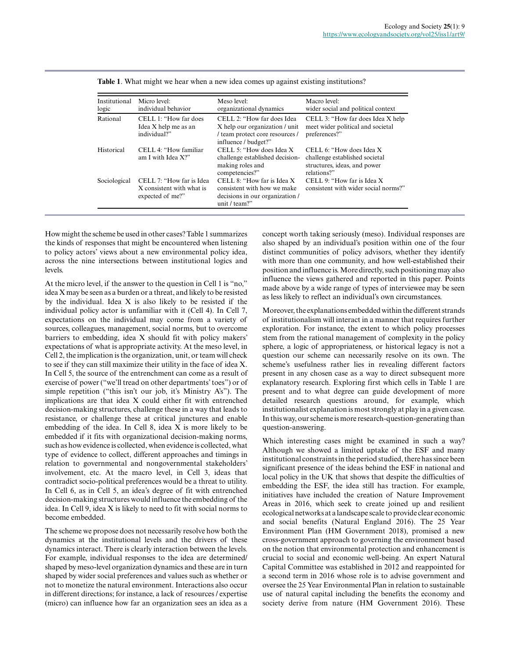| Institutional<br>logic | Micro level:<br>individual behavior                                       | Meso level:<br>organizational dynamics                                                                                  | Macro level:<br>wider social and political context                                                                   |
|------------------------|---------------------------------------------------------------------------|-------------------------------------------------------------------------------------------------------------------------|----------------------------------------------------------------------------------------------------------------------|
| Rational               | CELL 1: "How far does"<br>Idea X help me as an<br>individual?"            | CELL 2: "How far does Idea<br>X help our organization / unit<br>/ team protect core resources /<br>influence / budget?" | CELL 3: "How far does Idea X help<br>meet wider political and societal<br>preferences?"                              |
| Historical             | $CELL$ 4. "How familiar"<br>am I with Idea $X$ ?"                         | CELL 5: "How does Idea X<br>challenge established decision-<br>making roles and<br>competencies?"                       | CELL 6 <sup>*</sup> How does Idea X<br>challenge established societal<br>structures, ideas, and power<br>relations?" |
| Sociological           | CELL 7: "How far is Idea<br>X consistent with what is<br>expected of me?" | CELL 8: "How far is Idea X<br>consistent with how we make<br>decisions in our organization /<br>unit / team?"           | CELL 9: "How far is Idea $X$<br>consistent with wider social norms?"                                                 |

|  |  | Table 1. What might we hear when a new idea comes up against existing institutions? |  |  |  |
|--|--|-------------------------------------------------------------------------------------|--|--|--|
|  |  |                                                                                     |  |  |  |

How might the scheme be used in other cases? Table 1 summarizes the kinds of responses that might be encountered when listening to policy actors' views about a new environmental policy idea, across the nine intersections between institutional logics and levels.

At the micro level, if the answer to the question in Cell 1 is "no," idea X may be seen as a burden or a threat, and likely to be resisted by the individual. Idea X is also likely to be resisted if the individual policy actor is unfamiliar with it (Cell 4). In Cell 7, expectations on the individual may come from a variety of sources, colleagues, management, social norms, but to overcome barriers to embedding, idea X should fit with policy makers' expectations of what is appropriate activity. At the meso level, in Cell 2, the implication is the organization, unit, or team will check to see if they can still maximize their utility in the face of idea X. In Cell 5, the source of the entrenchment can come as a result of exercise of power ("we'll tread on other departments' toes") or of simple repetition ("this isn't our job, it's Ministry A's"). The implications are that idea X could either fit with entrenched decision-making structures, challenge these in a way that leads to resistance, or challenge these at critical junctures and enable embedding of the idea. In Cell 8, idea X is more likely to be embedded if it fits with organizational decision-making norms, such as how evidence is collected, when evidence is collected, what type of evidence to collect, different approaches and timings in relation to governmental and nongovernmental stakeholders' involvement, etc. At the macro level, in Cell 3, ideas that contradict socio-political preferences would be a threat to utility. In Cell 6, as in Cell 5, an idea's degree of fit with entrenched decision-making structures would influence the embedding of the idea. In Cell 9, idea X is likely to need to fit with social norms to become embedded.

The scheme we propose does not necessarily resolve how both the dynamics at the institutional levels and the drivers of these dynamics interact. There is clearly interaction between the levels. For example, individual responses to the idea are determined/ shaped by meso-level organization dynamics and these are in turn shaped by wider social preferences and values such as whether or not to monetize the natural environment. Interactions also occur in different directions; for instance, a lack of resources / expertise (micro) can influence how far an organization sees an idea as a concept worth taking seriously (meso). Individual responses are also shaped by an individual's position within one of the four distinct communities of policy advisors, whether they identify with more than one community, and how well-established their position and influence is. More directly, such positioning may also influence the views gathered and reported in this paper. Points made above by a wide range of types of interviewee may be seen as less likely to reflect an individual's own circumstances.

Moreover, the explanations embedded within the different strands of institutionalism will interact in a manner that requires further exploration. For instance, the extent to which policy processes stem from the rational management of complexity in the policy sphere, a logic of appropriateness, or historical legacy is not a question our scheme can necessarily resolve on its own. The scheme's usefulness rather lies in revealing different factors present in any chosen case as a way to direct subsequent more explanatory research. Exploring first which cells in Table 1 are present and to what degree can guide development of more detailed research questions around, for example, which institutionalist explanation is most strongly at play in a given case. In this way, our scheme is more research-question-generating than question-answering.

Which interesting cases might be examined in such a way? Although we showed a limited uptake of the ESF and many institutional constraints in the period studied, there has since been significant presence of the ideas behind the ESF in national and local policy in the UK that shows that despite the difficulties of embedding the ESF, the idea still has traction. For example, initiatives have included the creation of Nature Improvement Areas in 2016, which seek to create joined up and resilient ecological networks at a landscape scale to provide clear economic and social benefits (Natural England 2016). The 25 Year Environment Plan (HM Government 2018), promised a new cross-government approach to governing the environment based on the notion that environmental protection and enhancement is crucial to social and economic well-being. An expert Natural Capital Committee was established in 2012 and reappointed for a second term in 2016 whose role is to advise government and oversee the 25 Year Environmental Plan in relation to sustainable use of natural capital including the benefits the economy and society derive from nature (HM Government 2016). These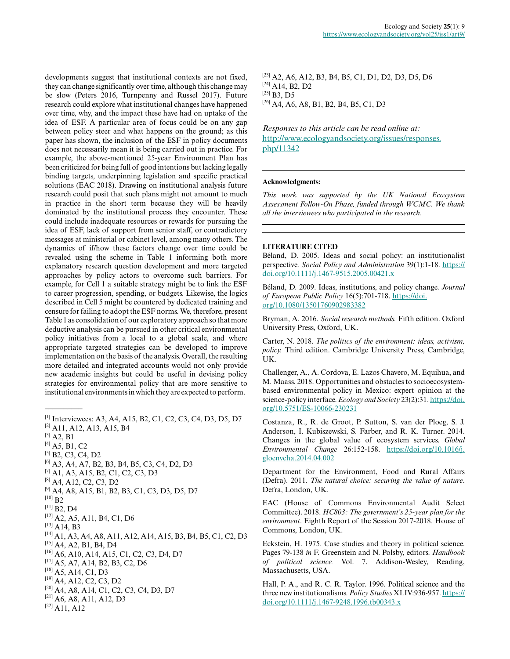developments suggest that institutional contexts are not fixed, they can change significantly over time, although this change may be slow (Peters 2016, Turnpenny and Russel 2017). Future research could explore what institutional changes have happened over time, why, and the impact these have had on uptake of the idea of ESF. A particular area of focus could be on any gap between policy steer and what happens on the ground; as this paper has shown, the inclusion of the ESF in policy documents does not necessarily mean it is being carried out in practice. For example, the above-mentioned 25-year Environment Plan has been criticized for being full of good intentions but lacking legally binding targets, underpinning legislation and specific practical solutions (EAC 2018). Drawing on institutional analysis future research could posit that such plans might not amount to much in practice in the short term because they will be heavily dominated by the institutional process they encounter. These could include inadequate resources or rewards for pursuing the idea of ESF, lack of support from senior staff, or contradictory messages at ministerial or cabinet level, among many others. The dynamics of if/how these factors change over time could be revealed using the scheme in Table 1 informing both more explanatory research question development and more targeted approaches by policy actors to overcome such barriers. For example, for Cell 1 a suitable strategy might be to link the ESF to career progression, spending, or budgets. Likewise, the logics described in Cell 5 might be countered by dedicated training and censure for failing to adopt the ESF norms. We, therefore, present Table 1 as consolidation of our exploratory approach so that more deductive analysis can be pursued in other critical environmental policy initiatives from a local to a global scale, and where appropriate targeted strategies can be developed to improve implementation on the basis of the analysis. Overall, the resulting more detailed and integrated accounts would not only provide new academic insights but could be useful in devising policy strategies for environmental policy that are more sensitive to institutional environments in which they are expected to perform.

[1] Interviewees: A3, A4, A15, B2, C1, C2, C3, C4, D3, D5, D7 [2] A11, A12, A13, A15, B4

 $\overline{\phantom{a}}$ 

```
[6] A3, A4, A7, B2, B3, B4, B5, C3, C4, D2, D3
```

```
[7] A1, A3, A15, B2, C1, C2, C3, D3
```
- <sup>[8]</sup> A4, A12, C2, C3, D2
- $^{[9]}$  A4, A8, A15, B1, B2, B3, C1, C3, D3, D5, D7
- $^{[10]}$  B<sub>2</sub>

```
[11] B2, D4
```

```
[12] A2, A5, A11, B4, C1, D6
```

```
^{[13]} A14, B3
```
- [14] A1, A3, A4, A8, A11, A12, A14, A15, B3, B4, B5, C1, C2, D3 [15] A4, A2, B1, B4, D4
- [16] A6, A10, A14, A15, C1, C2, C3, D4, D7
- [17] A5, A7, A14, B2, B3, C2, D6
- [18] A5, A14, C1, D3
- $[19]$  A4, A12, C2, C3, D2
- $[20]$  A4, A8, A14, C1, C2, C3, C4, D3, D7
- $[21]$  A6, A8, A11, A12, D3
- [22] A11, A12

[23] A2, A6, A12, B3, B4, B5, C1, D1, D2, D3, D5, D6 [24] A14, B2, D2 [25] **B3**, D5  $[26]$  A4, A6, A8, B1, B2, B4, B5, C1, D3

*Responses to this article can be read online at:* [http://www.ecologyandsociety.org/issues/responses.](http://www.ecologyandsociety.org/issues/responses.php/11342) [php/11342](http://www.ecologyandsociety.org/issues/responses.php/11342)

## **Acknowledgments:**

*This work was supported by the UK National Ecosystem Assessment Follow-On Phase, funded through WCMC. We thank all the interviewees who participated in the research.*

# **LITERATURE CITED**

Béland, D. 2005. Ideas and social policy: an institutionalist perspective. *Social Policy and Administration* 39(1):1-18. [https://](https://doi.org/10.1111/j.1467-9515.2005.00421.x) [doi.org/10.1111/j.1467-9515.2005.00421.x](https://doi.org/10.1111/j.1467-9515.2005.00421.x)

Béland, D. 2009. Ideas, institutions, and policy change. *Journal of European Public Policy* 16(5):701-718. [https://doi.](https://doi.org/10.1080/13501760902983382) [org/10.1080/13501760902983382](https://doi.org/10.1080/13501760902983382) 

Bryman, A. 2016. *Social research methods.* Fifth edition. Oxford University Press, Oxford, UK.

Carter, N. 2018. *The politics of the environment: ideas, activism, policy.* Third edition. Cambridge University Press, Cambridge, UK.

Challenger, A., A. Cordova, E. Lazos Chavero, M. Equihua, and M. Maass. 2018. Opportunities and obstacles to socioecosystembased environmental policy in Mexico: expert opinion at the science-policy interface. *Ecology and Society* 23(2):31. [https://doi.](https://doi.org/10.5751/ES-10066-230231) [org/10.5751/ES-10066-230231](https://doi.org/10.5751/ES-10066-230231) 

Costanza, R., R. de Groot, P. Sutton, S. van der Ploeg, S. J. Anderson, I. Kubiszewski, S. Farber, and R. K. Turner. 2014. Changes in the global value of ecosystem services. *Global Environmental Change* 26:152-158. [https://doi.org/10.1016/j.](https://doi.org/10.1016/j.gloenvcha.2014.04.002) [gloenvcha.2014.04.002](https://doi.org/10.1016/j.gloenvcha.2014.04.002)

Department for the Environment, Food and Rural Affairs (Defra). 2011. *The natural choice: securing the value of nature*. Defra, London, UK.

EAC (House of Commons Environmental Audit Select Committee). 2018. *HC803: The government's 25-year plan for the environment*. Eighth Report of the Session 2017-2018. House of Commons, London, UK.

Eckstein, H. 1975. Case studies and theory in political science. Pages 79-138 *in* F. Greenstein and N. Polsby, editors. *Handbook of political science.* Vol. 7. Addison-Wesley, Reading, Massachusetts, USA.

Hall, P. A., and R. C. R. Taylor. 1996. Political science and the three new institutionalisms. *Policy Studies* XLIV:936-957. [https://](https://doi.org/10.1111/j.1467-9248.1996.tb00343.x) [doi.org/10.1111/j.1467-9248.1996.tb00343.x](https://doi.org/10.1111/j.1467-9248.1996.tb00343.x)

 $^{[3]}$  A2, B1

 $[4]$  A5, B1, C2

 $[5]$  B<sub>2</sub>, C<sub>3</sub>, C<sub>4</sub>, D<sub>2</sub>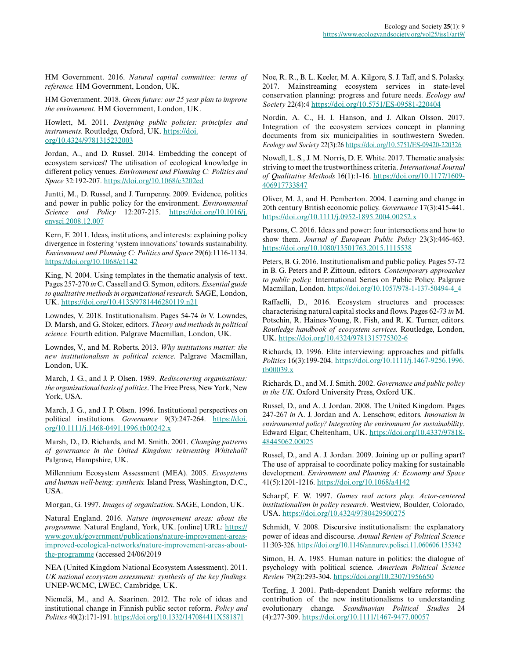HM Government. 2016. *Natural capital committee: terms of reference.* HM Government, London, UK.

HM Government. 2018. *Green future: our 25 year plan to improve the environment.* HM Government, London, UK.

Howlett, M. 2011. *Designing public policies: principles and instruments.* Routledge, Oxford, UK. [https://doi.](https://doi.org/10.4324/9781315232003) [org/10.4324/9781315232003](https://doi.org/10.4324/9781315232003) 

Jordan, A., and D. Russel. 2014. Embedding the concept of ecosystem services? The utilisation of ecological knowledge in different policy venues. *Environment and Planning C: Politics and Space* 32:192-207. <https://doi.org/10.1068/c3202ed>

Juntti, M., D. Russel, and J. Turnpenny. 2009. Evidence, politics and power in public policy for the environment. *Environmental Science and Policy* 12:207-215. [https://doi.org/10.1016/j.](https://doi.org/10.1016/j.envsci.2008.12.007) [envsci.2008.12.007](https://doi.org/10.1016/j.envsci.2008.12.007) 

Kern, F. 2011. Ideas, institutions, and interests: explaining policy divergence in fostering 'system innovations' towards sustainability. *Environment and Planning C: Politics and Space* 29(6):1116-1134. <https://doi.org/10.1068/c1142>

King, N. 2004. Using templates in the thematic analysis of text. Pages 257-270 *in* C. Cassell and G. Symon, editors. *Essential guide to qualitative methods in organizational research.* SAGE, London, UK. <https://doi.org/10.4135/9781446280119.n21>

Lowndes, V. 2018. Institutionalism. Pages 54-74 *in* V. Lowndes, D. Marsh, and G. Stoker, editors. *Theory and methods in political science.* Fourth edition. Palgrave Macmillan, London, UK.

Lowndes, V., and M. Roberts. 2013. *Why institutions matter: the new institutionalism in political science*. Palgrave Macmillan, London, UK.

March, J. G., and J. P. Olsen. 1989. *Rediscovering organisations: the organisational basis of politics*. The Free Press, New York, New York, USA.

March, J. G., and J. P. Olsen. 1996. Institutional perspectives on political institutions. *Governance* 9(3):247-264. [https://doi.](https://doi.org/10.1111/j.1468-0491.1996.tb00242.x) [org/10.1111/j.1468-0491.1996.tb00242.x](https://doi.org/10.1111/j.1468-0491.1996.tb00242.x)

Marsh, D., D. Richards, and M. Smith. 2001. *Changing patterns of governance in the United Kingdom: reinventing Whitehall?* Palgrave, Hampshire, UK.

Millennium Ecosystem Assessment (MEA). 2005. *Ecosystems and human well-being: synthesis.* Island Press, Washington, D.C., USA.

Morgan, G. 1997. *Images of organization*. SAGE, London, UK.

Natural England. 2016. *Nature improvement areas: about the programme.* Natural England, York, UK. [online] URL: [https://](https://www.gov.uk/government/publications/nature-improvement-areas-improved-ecological-networks/nature-improvement-areas-about-the-programme) [www.gov.uk/government/publications/nature-improvement-areas](https://www.gov.uk/government/publications/nature-improvement-areas-improved-ecological-networks/nature-improvement-areas-about-the-programme)[improved-ecological-networks/nature-improvement-areas-about](https://www.gov.uk/government/publications/nature-improvement-areas-improved-ecological-networks/nature-improvement-areas-about-the-programme)[the-programme](https://www.gov.uk/government/publications/nature-improvement-areas-improved-ecological-networks/nature-improvement-areas-about-the-programme) (accessed 24/06/2019

NEA (United Kingdom National Ecosystem Assessment). 2011. *UK national ecosystem assessment: synthesis of the key findings.* UNEP-WCMC, LWEC, Cambridge, UK.

Niemelä, M., and A. Saarinen. 2012. The role of ideas and institutional change in Finnish public sector reform. *Policy and Politics* 40(2):171-191. <https://doi.org/10.1332/147084411X581871>

Noe, R. R., B. L. Keeler, M. A. Kilgore, S. J. Taff, and S. Polasky. 2017. Mainstreaming ecosystem services in state-level conservation planning: progress and future needs. *Ecology and Society* 22(4):4 <https://doi.org/10.5751/ES-09581-220404>

Nordin, A. C., H. I. Hanson, and J. Alkan Olsson. 2017. Integration of the ecosystem services concept in planning documents from six municipalities in southwestern Sweden. *Ecology and Society* 22(3):26 <https://doi.org/10.5751/ES-09420-220326>

Nowell, L. S., J. M. Norris, D. E. White. 2017. Thematic analysis: striving to meet the trustworthiness criteria. *International Journal of Qualitative Methods* 16(1):1-16. [https://doi.org/10.1177/1609](https://doi.org/10.1177/1609406917733847) [406917733847](https://doi.org/10.1177/1609406917733847)

Oliver, M. J., and H. Pemberton. 2004. Learning and change in 20th century British economic policy. *Governance* 17(3):415-441. <https://doi.org/10.1111/j.0952-1895.2004.00252.x>

Parsons, C. 2016. Ideas and power: four intersections and how to show them. *Journal of European Public Policy* 23(3):446-463. <https://doi.org/10.1080/13501763.2015.1115538>

Peters, B. G. 2016. Institutionalism and public policy. Pages 57-72 in B. G. Peters and P. Zittoun, editors. *Contemporary approaches to public policy.* International Series on Public Policy. Palgrave Macmillan, London. [https://doi.org/10.1057/978-1-137-50494-4\\_4](https://doi.org/10.1057/978-1-137-50494-4_4) 

Raffaelli, D., 2016. Ecosystem structures and processes: characterising natural capital stocks and flows. Pages 62-73 *in* M. Potschin, R. Haines-Young, R. Fish, and R. K. Turner, editors. *Routledge handbook of ecosystem services.* Routledge, London, UK. <https://doi.org/10.4324/9781315775302-6>

Richards, D. 1996. Elite interviewing: approaches and pitfalls. *Politics* 16(3):199-204. [https://doi.org/10.1111/j.1467-9256.1996.](https://doi.org/10.1111/j.1467-9256.1996.tb00039.x) [tb00039.x](https://doi.org/10.1111/j.1467-9256.1996.tb00039.x)

Richards, D., and M. J. Smith. 2002. *Governance and public policy in the UK*. Oxford University Press, Oxford UK.

Russel, D., and A. J. Jordan. 2008. The United Kingdom. Pages 247-267 *in* A. J. Jordan and A. Lenschow, editors. *Innovation in environmental policy? Integrating the environment for sustainability*. Edward Elgar, Cheltenham, UK. [https://doi.org/10.4337/97818](https://doi.org/10.4337/9781848445062.00025) [48445062.00025](https://doi.org/10.4337/9781848445062.00025) 

Russel, D., and A. J. Jordan. 2009. Joining up or pulling apart? The use of appraisal to coordinate policy making for sustainable development. *Environment and Planning A: Economy and Space* 41(5):1201-1216. <https://doi.org/10.1068/a4142>

Scharpf, F. W. 1997. *Games real actors play. Actor-centered institutionalism in policy research*. Westview, Boulder, Colorado, USA.<https://doi.org/10.4324/9780429500275>

Schmidt, V. 2008. Discursive institutionalism: the explanatory power of ideas and discourse. *Annual Review of Political Science* 11:303-326. <https://doi.org/10.1146/annurev.polisci.11.060606.135342>

Simon, H. A. 1985. Human nature in politics: the dialogue of psychology with political science. *American Political Science Review* 79(2):293-304.<https://doi.org/10.2307/1956650>

Torfing, J. 2001. Path-dependent Danish welfare reforms: the contribution of the new institutionalisms to understanding evolutionary change. *Scandinavian Political Studies* 24 (4):277-309. <https://doi.org/10.1111/1467-9477.00057>